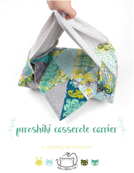

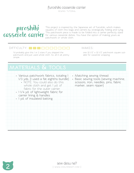sewing tutorial



This project is inspired by the Japanese art of furoshiki, which makes squares of cloth into bags and carriers by strategically folding and tying. This patchwork piece is made to be folded into a carrier perfectly sized for various casserole dishes. You have the option of making yours as patchwork or whole cloth.

#### difficulty: makes:

I'd probably give this 1 or 2 stars if you skipped the patchwork and just used whole cloth. So, all in all, pretty simple.

one 32 1/2" x 32 1/2" patchwork square suitable for casserole wrapping

# **materials & tools**

| · Various patchwork fabrics, totaling 1<br>1/3 yds. (I used a fat eighths bundle)<br>• NOTE: You could also do this<br>whole cloth and get 1 yd. of<br>fabric for the outer carrier<br>· 11/4 yd. of lightweight fabric for<br>carrier lining & handles<br>· 1 yd. of insulated batting | • Matching sewing thread<br>· Basic sewing tools (sewing machine,<br>scissors, iron, needles, pins, fabric<br>marker, seam ripper) |
|-----------------------------------------------------------------------------------------------------------------------------------------------------------------------------------------------------------------------------------------------------------------------------------------|------------------------------------------------------------------------------------------------------------------------------------|
|                                                                                                                                                                                                                                                                                         |                                                                                                                                    |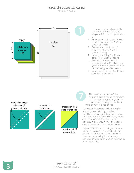sewing tutorial



**1.** If you're using whole cloth, cut your handles following steps 4 & 5, then skip to step 8.

- **2.** From your various patchwork fabrics, cut 6 strips, 7 1/2" x width of fabric
- **3.** Subcut each strip into 5 squares, 7 1/2" x 7 1/2" (26 squares total)
- **4.** From your lining fabric, cut 1 strip, 13" x width of fabric
- **5.** Subcut this strip into 2 rectangles, 21" x 13". These are your handles; reserve the rest of the lining for the carrier.
- **6.** Your pieces so far should look something like this:

draw a line diagonally; sew 1/4" from each side



cut down the drawn line

press open for 2 pairs of triangles



The patchwork part of the carrier is just a series of random half-square triangles. If you're a quilter, you probably know how we're going to piece those.

Pair up each square with a comple menting one (with right sides together), draw a line from one corner to the other, and sew 1/4" away from each side of the line, cut them in half down the drawn line, and you've created two sets of triangle blocks.

Repeat this process until you have 25 blocks to create the outside of the carrier. You'll end up with one extra since we're working in pairs, so you can use this to swap out something in your assembly.

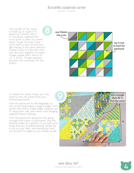sewing tutorial

The outside of the carrier is made up of a grid of 5 blocks by 5 blocks. Sew 5 of the blocks together into a row (I like to press my seams open). To get the look I have, you'll want to have all the triangles leaning in the same direction. Create 5 rows of 5 like this, then sew the rows together to create a large square that's about 33  $1/2$ " x 33  $1/2$ ". Though absolute precision isn't necessary for this project.



To create the carrier shape, you only need to trim off a little from your finished patchwork.

Fold the patchwork in half diagonally so the whole thing makes a large triangle. From corner that forms a right angle, measure out 10" along each side, then draw a line bringing together those markings.

Trim the patchwork along this line, going through both layers of patchwork. Use this finished shape as a pattern to cut both your lining and your insulated batting. Simply lay it out on your fabric and batting, pin, and cut around the edges as you usually would.



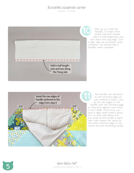sewing tutorial



Next up is to add the handles. To make them, simply fold each handle piece in half lengthwise and sew down the long edge. Turn it right side out and press when complete. You should have 2 handles when complete.



The handles are attached to the trimmed edge we just created in step 3. Line up the raw edges of the handle with the trimmed edge so they butt against each other in the middle. You'll know you have it right when there's about 3/4" on each side. Baste the two ends of the handle in place here, then repeat the same for the other trimmed edge of the carrier and the remaining handle.



**5** sew desu ne? | www.cholyknight.com |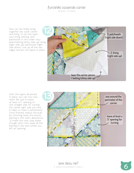sewing tutorial

Now we can finally bring together the outer carrier and lining. To do this, layer your lining, batting, and patchwork in this order: insu lated batting (shiny side up), lining (right side up), patchwork (right side down). Line up all the raw edges and pin the layers in place.



With the layers all pinned in place, you can now sew them. Be sure to leave at least a 5" opening on one straight side for turning the carrier right side out next. It helps to mark it beforehand. Once finished, reduce the bulk by trimming away the excess batting in the seam allowances. To make the next step easier though, don't trim away all the batting in the area where you left an opening.